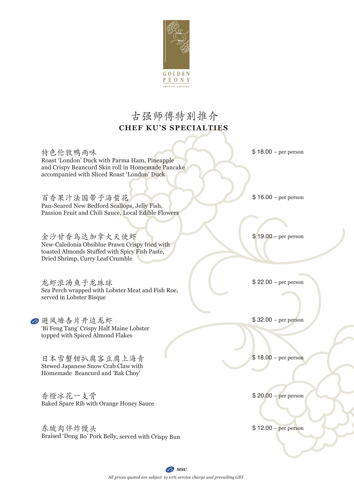

## 古强师傅特别推介 **CHEF KU'S SPECIALTIES**

特色伦敦鸭两味 Roast 'London' Duck with Parma Ham, Pineapple and Crispy Beancurd Skin roll in Homemade Pancake accompanied with Sliced Roast 'London' Duck

百香果汁法国带子海蜇花 Pan-Seared New Bedford Scallops, Jelly Fish, Passion Fruit and Chili Sauce, Local Edible Flowers

金沙甘香乌达加拿大天使虾 New-Caledonia Obsiblue Prawn Crispy fried with toasted Almonds Stuffed with Spicy Fish Paste, Dried Shrimp, Curry Leaf Crumble

龙虾浓汤鱼子龙珠球 Sea Perch wrapped with Lobster Meat and Fish Roe, served in Lobster Bisque

● 避风塘杏片开边龙虾 'Bi Feng Tang' Crispy Half Maine Lobster topped with Spiced Almond Flakes

日本雪蟹钳扒腐客豆腐上海青 Stewed Japanese Snow Crab Claw with Homemade Beancurd and 'Bak Choy'

香橙冰花一支骨 Baked Spare Rib with Orange Honey Sauce

东坡肉伴炸馒头 Braised 'Dong Bo' Pork Belly, served with Crispy Bun \$ 18.00 – per person

\$ 16.00 – per person

\$ 19.00 – per person

\$ 22.00 – per person

\$ 32.00 – per person

\$ 18.00 – per person

\$ 20.00 – per person

\$ 12.00 – per person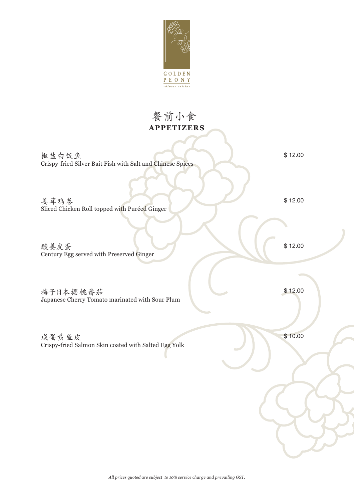

# **APPETIZERS** 餐前小食

椒盐白饭鱼 Crispy-fried Silver Bait Fish with Salt and Chinese Spices \$ 12.00

\$ 12.00

\$ 12.00

酸姜皮蛋 Century Egg served with Preserved Ginger

Sliced Chicken Roll topped with Puréed Ginger

姜茸鸡卷

梅子日本樱桃番茄 Japanese Cherry Tomato marinated with Sour Plum

咸蛋黄鱼皮 Crispy-fried Salmon Skin coated with Salted Egg Yolk \$ 12.00

\$ 10.00

*All prices quoted are subject to 10% service charge and prevailing GST.*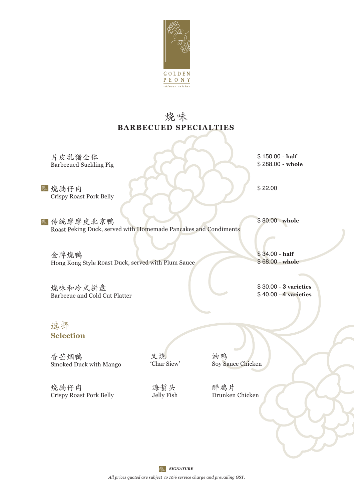

### **BARBECUED SPECIALTIES** 烧 味

片皮乳猪全体 Barbecued Suckling Pig

**图 烧腩仔肉** Crispy Roast Pork Belly

2 传统摩摩皮北京鸭 Roast Peking Duck, served with Homemade Pancakes and Condiments

金牌烧鸭 Hong Kong Style Roast Duck, served with Plum Sauce

烧味和冷式拼盘 Barbecue and Cold Cut Platter \$ 150.00 - **half** \$ 288.00 - **whole** 

\$ 22.00

\$ 80.00 - **whole**

\$ 34.00 - **half** \$ 68.00 - **whole** 

\$ 30.00 - **3 varieties** \$ 40.00 - **4 varieties** 

#### 选择 **Selection**

香芒烟鸭 Smoked Duck with Mango

叉烧 'Char Siew'

油鸡 Soy Sauce Chicken

烧腩仔肉 Crispy Roast Pork Belly

海蜇头 Jelly Fish

醉鸡片 Drunken Chicken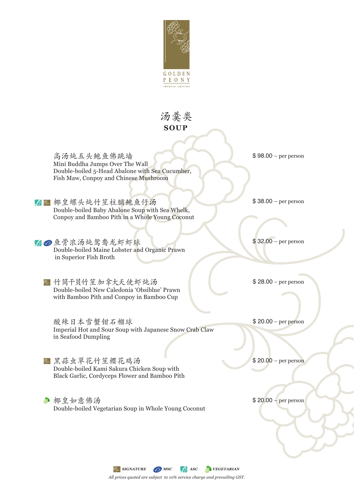

### **SOUP** 汤羹类

高汤炖五头鲍鱼佛跳墙 Mini Buddha Jumps Over The Wall Double-boiled 5-Head Abalone with Sea Cucumber, Fish Maw, Conpoy and Chinese Mushroom

6 四 椰皇螺头炖竹笙柱脯鲍鱼仔汤 Double-boiled Baby Abalone Soup with Sea Whelk, Conpoy and Bamboo Pith in a Whole Young Coconut

△●鱼骨浓汤炖鸳鸯龙虾虾球 Double-boiled Maine Lobster and Organic Prawn in Superior Fish Broth

◎ 竹筒干贝竹笙 加拿大天使虾炖汤 Double-boiled New Caledonia 'Obsiblue' Prawn with Bamboo Pith and Conpoy in Bamboo Cup

酸辣日本雪蟹钳石榴球 Imperial Hot and Sour Soup with Japanese Snow Crab Claw in Seafood Dumpling

& 黑蒜虫草花什笙樱花鸡汤 Double-boiled Kami Sakura Chicken Soup with Black Garlic, Cordyceps Flower and Bamboo Pith

● 椰皇如意佛汤 Double-boiled Vegetarian Soup in Whole Young Coconut \$ 98.00 – per person

\$ 38.00 – per person

\$ 32.00 – per person

\$ 28.00 – per person

\$ 20.00 – per person

\$ 20.00 – per person

\$ 20.00 – per person

*All prices quoted are subject to 10% service charge and prevailing GST.* **SIGNATURE G MSC ASC VEGETARIAN**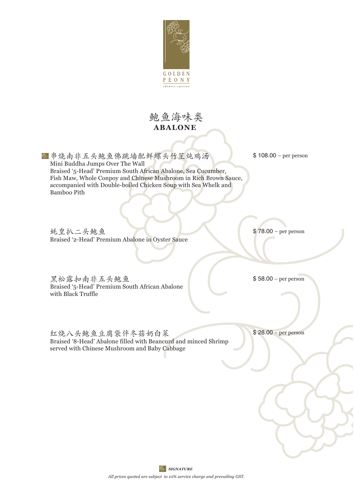

### **ABALONE**  鲍鱼海味类

■ 串烧南非五头鲍鱼佛跳墙配鲜螺头竹笙炖鸡汤 Mini Buddha Jumps Over The Wall Braised '5-Head' Premium South African Abalone, Sea Cucumber, Fish Maw, Whole Conpoy and Chinese Mushroom in Rich Brown Sauce, accompanied with Double-boiled Chicken Soup with Sea Whelk and Bamboo Pith

\$ 108.00 – per person

蚝皇扒二头鲍鱼 Braised '2-Head' Premium Abalone in Oyster Sauce \$ 78.00 – per person

黑松露扣南非五头鲍鱼 Braised '5-Head' Premium South African Abalone with Black Truffle

\$ 58.00 – per person

红烧八头鲍鱼豆腐袋伴冬菇奶白菜 Braised '8-Head' Abalone filled with Beancurd and minced Shrimp served with Chinese Mushroom and Baby Cabbage

\$ 28.00 – per person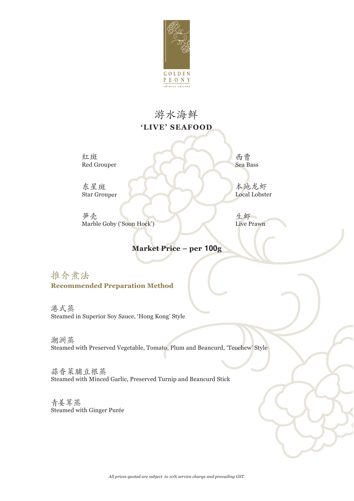

# 游水海鲜 **'LIVE' SEAFOOD**

红斑 Red Grouper

西 曹 Sea Bass

本地龙虾 Local Lobster

东星斑 Star Grouper

笋 壳 Marble Goby ('Soon Hock')

生虾 Live Prawn

#### **Market Price – per 100g**

推介煮法 **Recommended Preparation Method**

港 式 蒸 Steamed in Superior Soy Sauce, 'Hong Kong' Style

潮洲蒸 Steamed with Preserved Vegetable, Tomato, Plum and Beancurd, 'Teochew' Style

蒜香菜脯豆根蒸 Steamed with Minced Garlic, Preserved Turnip and Beancurd Stick

青姜茸蒸 Steamed with Ginger Purée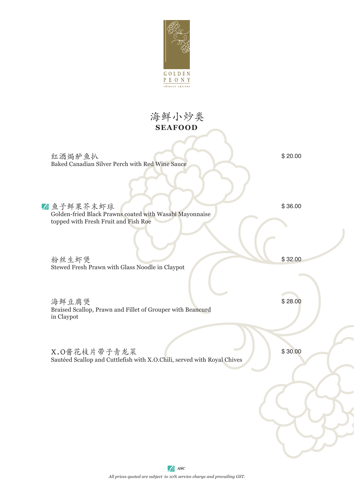

### **SEAFOOD** 海鲜小炒类

红酒焗鲈鱼扒 Baked Canadian Silver Perch with Red Wine Sauce

鱼 子 鲜 果 芥 末 虾 球

\$ 20.00

Golden-fried Black Prawns coated with Wasabi Mayonnaise topped with Fresh Fruit and Fish Roe

粉丝生虾煲 Stewed Fresh Prawn with Glass Noodle in Claypot

海鲜豆腐煲 Braised Scallop, Prawn and Fillet of Grouper with Beancurd in Claypot

X.O酱花枝片带子青龙菜 \$30.00 Sautéed Scallop and Cuttlefish with X.O.Chili, served with Royal Chives

\$ 32.00

\$ 36.00

\$ 28.00

*All prices quoted are subject to 10% service charge and prevailing GST. ASC*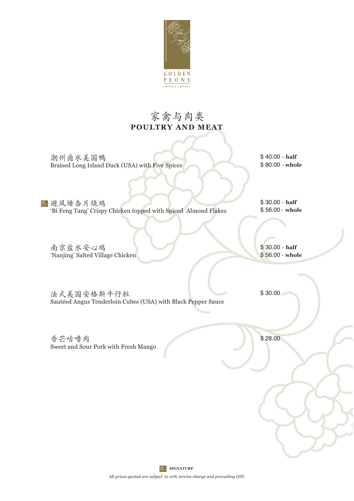

### **POULTRY AND MEAT** 家禽与肉类

潮州卤水美国鸭 Braised Long Island Duck (USA) with Five Spices \$ 40.00 - **half** \$ 80.00 - **whole** 

● 避风塘杏片烧鸡 'Bi Feng Tang' Crispy Chicken topped with Spiced Almond Flakes

\$ 30.00 - **half** \$ 56.00 - **whole** 

南京盐水安心鸡 'Nanjing' Salted Village Chicken \$ 30.00 - **half** \$ 56.00 - **whole** 

法式美国安格斯牛仔粒 Sautéed Angus Tenderloin Cubes (USA) with Black Pepper Sauce \$ 30.00

香芒咕噜肉 Sweet and Sour Pork with Fresh Mango \$ 28.00

*SIGNATURE* 

*All prices quoted are subject to 10% service charge and prevailing GST.*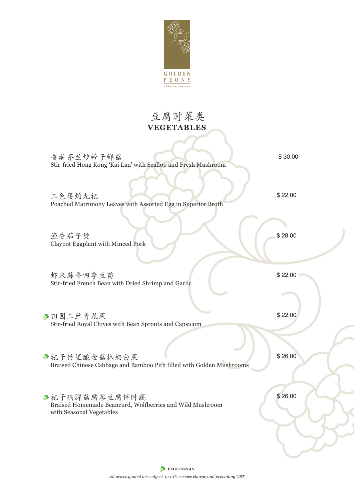

# **VEGETABLES** 豆腐时菜类

| 香港芥兰炒带子鲜菇<br>Stir-fried Hong Kong 'Kai Lan' with Scallop and Fresh Mushroom                           | \$30.00 |
|-------------------------------------------------------------------------------------------------------|---------|
| 三色蛋灼九杞<br>Poached Matrimony Leaves with Assorted Egg in Superior Broth                                | \$22.00 |
| 渔香茄子煲<br>Claypot Eggplant with Minced Pork                                                            | \$28.00 |
| 虾米蒜香四季豆苗<br>Stir-fried French Bean with Dried Shrimp and Garlic                                       | \$22.00 |
| ●田园三丝青龙菜<br>Stir-fried Royal Chives with Bean Sprouts and Capsicum                                    | \$22.00 |
| ●杞子竹笙酿金菇扒奶白菜<br>Braised Chinese Cabbage and Bamboo Pith filled with Golden Mushrooms                  | \$26.00 |
| ●杞子鸡脾菇腐客豆腐伴时蔬<br>Braised Homemade Beancurd, Wolfberries and Wild Mushroom<br>with Seasonal Vegetables | \$26.00 |
|                                                                                                       |         |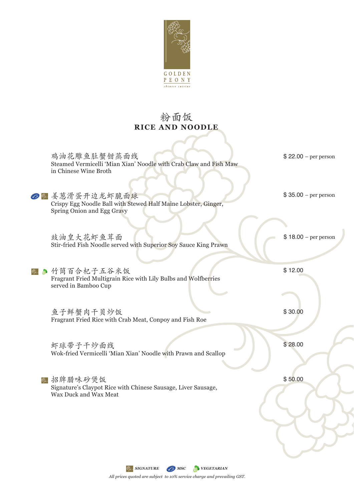

## **RICE AND NOODLE** 粉面饭

| 鸡油花雕鱼肚蟹钳蒸面线<br>Steamed Vermicelli 'Mian Xian' Noodle with Crab Claw and Fish Maw<br>in Chinese Wine Broth      | $$22.00 - per person$ |
|----------------------------------------------------------------------------------------------------------------|-----------------------|
| ◎ 是姜葱滑蛋开边龙虾脆面球<br>Crispy Egg Noodle Ball with Stewed Half Maine Lobster, Ginger,<br>Spring Onion and Egg Gravy | $$35.00 - per person$ |
| 豉油皇大花虾鱼茸面<br>Stir-fried Fish Noodle served with Superior Soy Sauce King Prawn                                  | $$18.00 - per person$ |
| 竹筒百合杞子五谷米饭<br>Fragrant Fried Multigrain Rice with Lily Bulbs and Wolfberries<br>served in Bamboo Cup           | \$12.00               |
| 鱼子鲜蟹肉干贝炒饭<br>Fragrant Fried Rice with Crab Meat, Conpoy and Fish Roe                                           | \$30.00               |
| 虾球带子干炒面线<br>Wok-fried Vermicelli 'Mian Xian' Noodle with Prawn and Scallop                                     | \$28.00               |
| 招牌腊味砂煲饭<br>Signature's Claypot Rice with Chinese Sausage, Liver Sausage,<br>Wax Duck and Wax Meat              | \$50.00               |
|                                                                                                                |                       |

*All prices quoted are subject to 10% service charge and prevailing GST. SIGNATURE MSC* MSC VEGETARIAN